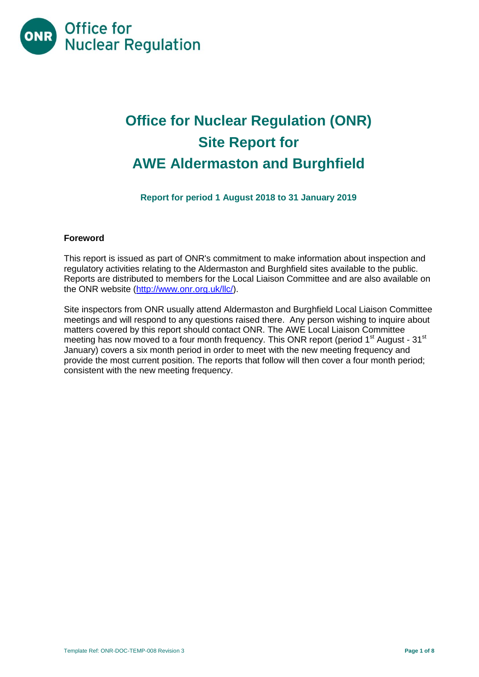

# **Office for Nuclear Regulation (ONR) Site Report for AWE Aldermaston and Burghfield**

**Report for period 1 August 2018 to 31 January 2019**

## **Foreword**

This report is issued as part of ONR's commitment to make information about inspection and regulatory activities relating to the Aldermaston and Burghfield sites available to the public. Reports are distributed to members for the Local Liaison Committee and are also available on the ONR website [\(http://www.onr.org.uk/llc/\)](http://www.onr.org.uk/llc/).

Site inspectors from ONR usually attend Aldermaston and Burghfield Local Liaison Committee meetings and will respond to any questions raised there. Any person wishing to inquire about matters covered by this report should contact ONR. The AWE Local Liaison Committee meeting has now moved to a four month frequency. This ONR report (period  $1<sup>st</sup>$  August -  $31<sup>st</sup>$ January) covers a six month period in order to meet with the new meeting frequency and provide the most current position. The reports that follow will then cover a four month period; consistent with the new meeting frequency.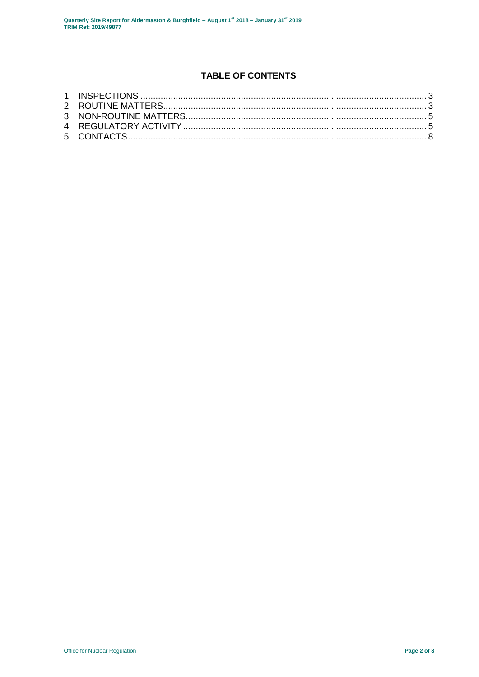## **TABLE OF CONTENTS**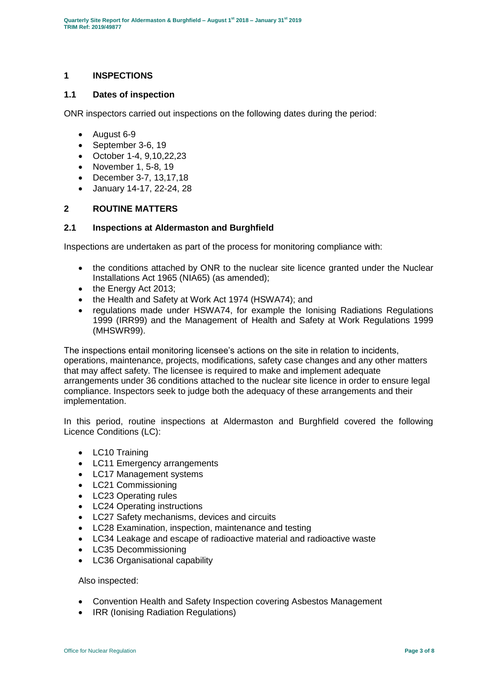## <span id="page-2-0"></span>**1 INSPECTIONS**

### **1.1 Dates of inspection**

ONR inspectors carried out inspections on the following dates during the period:

- August 6-9
- September 3-6, 19
- October 1-4, 9,10,22,23
- November 1, 5-8, 19
- December 3-7, 13,17,18
- January 14-17, 22-24, 28

## <span id="page-2-1"></span>**2 ROUTINE MATTERS**

#### **2.1 Inspections at Aldermaston and Burghfield**

Inspections are undertaken as part of the process for monitoring compliance with:

- the conditions attached by ONR to the nuclear site licence granted under the Nuclear Installations Act 1965 (NIA65) (as amended);
- the Energy Act 2013;
- the Health and Safety at Work Act 1974 (HSWA74); and
- regulations made under HSWA74, for example the Ionising Radiations Regulations 1999 (IRR99) and the Management of Health and Safety at Work Regulations 1999 (MHSWR99).

The inspections entail monitoring licensee's actions on the site in relation to incidents, operations, maintenance, projects, modifications, safety case changes and any other matters that may affect safety. The licensee is required to make and implement adequate arrangements under 36 conditions attached to the nuclear site licence in order to ensure legal compliance. Inspectors seek to judge both the adequacy of these arrangements and their implementation.

In this period, routine inspections at Aldermaston and Burghfield covered the following Licence Conditions (LC):

- LC10 Training
- LC11 Emergency arrangements
- LC17 Management systems
- LC21 Commissioning
- LC23 Operating rules
- LC24 Operating instructions
- LC27 Safety mechanisms, devices and circuits
- LC28 Examination, inspection, maintenance and testing
- LC34 Leakage and escape of radioactive material and radioactive waste
- LC35 Decommissioning
- LC36 Organisational capability

#### Also inspected:

- Convention Health and Safety Inspection covering Asbestos Management
- IRR (Ionising Radiation Regulations)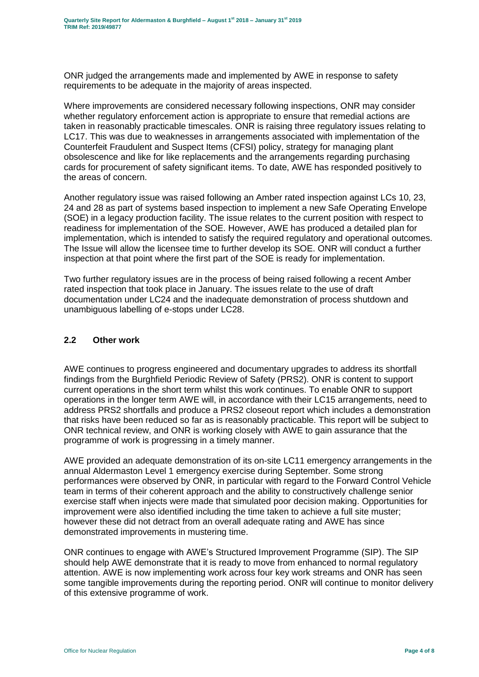ONR judged the arrangements made and implemented by AWE in response to safety requirements to be adequate in the majority of areas inspected.

Where improvements are considered necessary following inspections, ONR may consider whether regulatory enforcement action is appropriate to ensure that remedial actions are taken in reasonably practicable timescales. ONR is raising three regulatory issues relating to LC17. This was due to weaknesses in arrangements associated with implementation of the Counterfeit Fraudulent and Suspect Items (CFSI) policy, strategy for managing plant obsolescence and like for like replacements and the arrangements regarding purchasing cards for procurement of safety significant items. To date, AWE has responded positively to the areas of concern.

Another regulatory issue was raised following an Amber rated inspection against LCs 10, 23, 24 and 28 as part of systems based inspection to implement a new Safe Operating Envelope (SOE) in a legacy production facility. The issue relates to the current position with respect to readiness for implementation of the SOE. However, AWE has produced a detailed plan for implementation, which is intended to satisfy the required regulatory and operational outcomes. The Issue will allow the licensee time to further develop its SOE. ONR will conduct a further inspection at that point where the first part of the SOE is ready for implementation.

Two further regulatory issues are in the process of being raised following a recent Amber rated inspection that took place in January. The issues relate to the use of draft documentation under LC24 and the inadequate demonstration of process shutdown and unambiguous labelling of e-stops under LC28.

## **2.2 Other work**

AWE continues to progress engineered and documentary upgrades to address its shortfall findings from the Burghfield Periodic Review of Safety (PRS2). ONR is content to support current operations in the short term whilst this work continues. To enable ONR to support operations in the longer term AWE will, in accordance with their LC15 arrangements, need to address PRS2 shortfalls and produce a PRS2 closeout report which includes a demonstration that risks have been reduced so far as is reasonably practicable. This report will be subject to ONR technical review, and ONR is working closely with AWE to gain assurance that the programme of work is progressing in a timely manner.

AWE provided an adequate demonstration of its on-site LC11 emergency arrangements in the annual Aldermaston Level 1 emergency exercise during September. Some strong performances were observed by ONR, in particular with regard to the Forward Control Vehicle team in terms of their coherent approach and the ability to constructively challenge senior exercise staff when injects were made that simulated poor decision making. Opportunities for improvement were also identified including the time taken to achieve a full site muster; however these did not detract from an overall adequate rating and AWE has since demonstrated improvements in mustering time.

ONR continues to engage with AWE's Structured Improvement Programme (SIP). The SIP should help AWE demonstrate that it is ready to move from enhanced to normal regulatory attention. AWE is now implementing work across four key work streams and ONR has seen some tangible improvements during the reporting period. ONR will continue to monitor delivery of this extensive programme of work.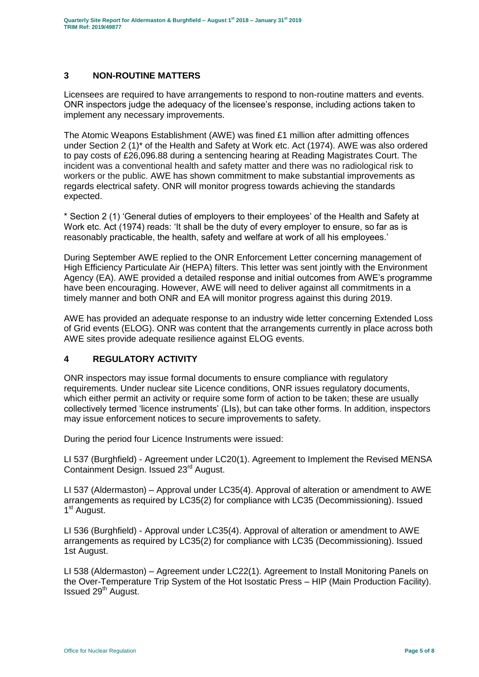## <span id="page-4-0"></span>**3 NON-ROUTINE MATTERS**

Licensees are required to have arrangements to respond to non-routine matters and events. ONR inspectors judge the adequacy of the licensee's response, including actions taken to implement any necessary improvements.

The Atomic Weapons Establishment (AWE) was fined £1 million after admitting offences under Section 2 (1)\* of the Health and Safety at Work etc. Act (1974). AWE was also ordered to pay costs of £26,096.88 during a sentencing hearing at Reading Magistrates Court. The incident was a conventional health and safety matter and there was no radiological risk to workers or the public. AWE has shown commitment to make substantial improvements as regards electrical safety. ONR will monitor progress towards achieving the standards expected.

\* Section 2 (1) 'General duties of employers to their employees' of the Health and Safety at Work etc. Act (1974) reads: 'It shall be the duty of every employer to ensure, so far as is reasonably practicable, the health, safety and welfare at work of all his employees.'

During September AWE replied to the ONR Enforcement Letter concerning management of High Efficiency Particulate Air (HEPA) filters. This letter was sent jointly with the Environment Agency (EA). AWE provided a detailed response and initial outcomes from AWE's programme have been encouraging. However, AWE will need to deliver against all commitments in a timely manner and both ONR and EA will monitor progress against this during 2019.

AWE has provided an adequate response to an industry wide letter concerning Extended Loss of Grid events (ELOG). ONR was content that the arrangements currently in place across both AWE sites provide adequate resilience against ELOG events.

## <span id="page-4-1"></span>**4 REGULATORY ACTIVITY**

ONR inspectors may issue formal documents to ensure compliance with regulatory requirements. Under nuclear site Licence conditions, ONR issues regulatory documents, which either permit an activity or require some form of action to be taken; these are usually collectively termed 'licence instruments' (LIs), but can take other forms. In addition, inspectors may issue enforcement notices to secure improvements to safety.

During the period four Licence Instruments were issued:

LI 537 (Burghfield) - Agreement under LC20(1). Agreement to Implement the Revised MENSA Containment Design. Issued 23rd August.

LI 537 (Aldermaston) – Approval under LC35(4). Approval of alteration or amendment to AWE arrangements as required by LC35(2) for compliance with LC35 (Decommissioning). Issued 1<sup>st</sup> August.

LI 536 (Burghfield) - Approval under LC35(4). Approval of alteration or amendment to AWE arrangements as required by LC35(2) for compliance with LC35 (Decommissioning). Issued 1st August.

LI 538 (Aldermaston) – Agreement under LC22(1). Agreement to Install Monitoring Panels on the Over-Temperature Trip System of the Hot Isostatic Press – HIP (Main Production Facility). Issued 29<sup>th</sup> August.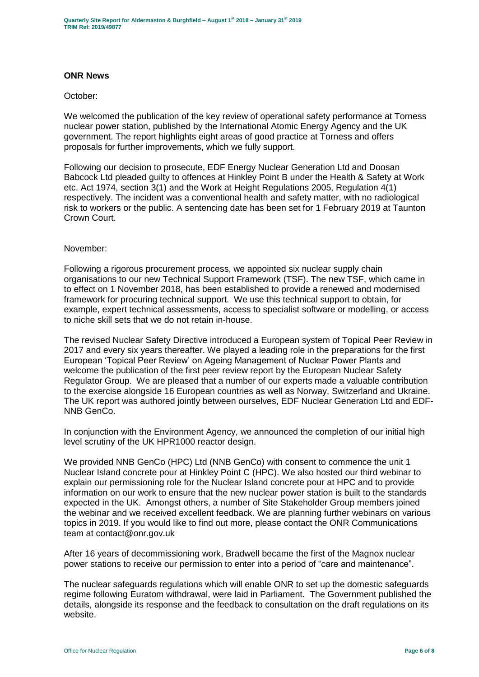## **ONR News**

#### October:

We welcomed the publication of the key review of operational safety performance at Torness nuclear power station, published by the International Atomic Energy Agency and the UK government. The report highlights eight areas of good practice at Torness and offers proposals for further improvements, which we fully support.

Following our decision to prosecute, EDF Energy Nuclear Generation Ltd and Doosan Babcock Ltd pleaded guilty to offences at Hinkley Point B under the Health & Safety at Work etc. Act 1974, section 3(1) and the Work at Height Regulations 2005, Regulation 4(1) respectively. The incident was a conventional health and safety matter, with no radiological risk to workers or the public. A sentencing date has been set for 1 February 2019 at Taunton Crown Court.

#### November:

Following a rigorous procurement process, we appointed six nuclear supply chain organisations to our new Technical Support Framework (TSF). The new TSF, which came in to effect on 1 November 2018, has been established to provide a renewed and modernised framework for procuring technical support. We use this technical support to obtain, for example, expert technical assessments, access to specialist software or modelling, or access to niche skill sets that we do not retain in-house.

The revised Nuclear Safety Directive introduced a European system of Topical Peer Review in 2017 and every six years thereafter. We played a leading role in the preparations for the first European 'Topical Peer Review' on Ageing Management of Nuclear Power Plants and welcome the publication of the first peer review report by the European Nuclear Safety Regulator Group. We are pleased that a number of our experts made a valuable contribution to the exercise alongside 16 European countries as well as Norway, Switzerland and Ukraine. The UK report was authored jointly between ourselves, EDF Nuclear Generation Ltd and EDF-NNB GenCo.

In conjunction with the Environment Agency, we announced the completion of our initial high level scrutiny of the UK HPR1000 reactor design.

We provided NNB GenCo (HPC) Ltd (NNB GenCo) with consent to commence the unit 1 Nuclear Island concrete pour at Hinkley Point C (HPC). We also hosted our third webinar to explain our permissioning role for the Nuclear Island concrete pour at HPC and to provide information on our work to ensure that the new nuclear power station is built to the standards expected in the UK. Amongst others, a number of Site Stakeholder Group members joined the webinar and we received excellent feedback. We are planning further webinars on various topics in 2019. If you would like to find out more, please contact the ONR Communications team at contact@onr.gov.uk

After 16 years of decommissioning work, Bradwell became the first of the Magnox nuclear power stations to receive our permission to enter into a period of "care and maintenance".

The nuclear safeguards regulations which will enable ONR to set up the domestic safeguards regime following Euratom withdrawal, were laid in Parliament. The Government published the details, alongside its response and the feedback to consultation on the draft regulations on its website.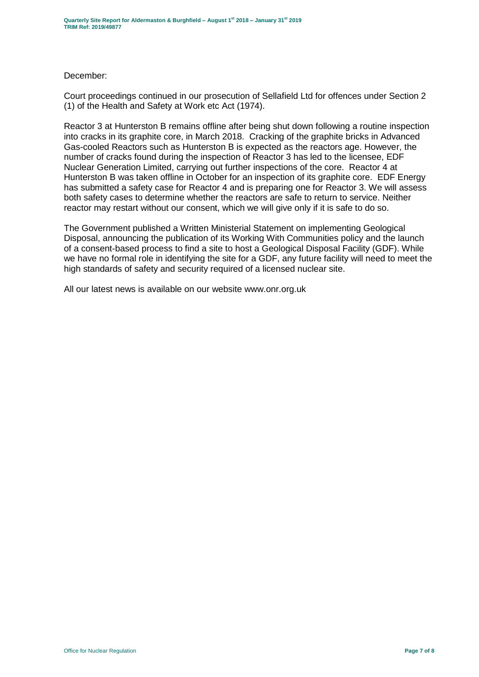#### December:

Court proceedings continued in our prosecution of Sellafield Ltd for offences under Section 2 (1) of the Health and Safety at Work etc Act (1974).

Reactor 3 at Hunterston B remains offline after being shut down following a routine inspection into cracks in its graphite core, in March 2018. Cracking of the graphite bricks in Advanced Gas-cooled Reactors such as Hunterston B is expected as the reactors age. However, the number of cracks found during the inspection of Reactor 3 has led to the licensee, EDF Nuclear Generation Limited, carrying out further inspections of the core. Reactor 4 at Hunterston B was taken offline in October for an inspection of its graphite core. EDF Energy has submitted a safety case for Reactor 4 and is preparing one for Reactor 3. We will assess both safety cases to determine whether the reactors are safe to return to service. Neither reactor may restart without our consent, which we will give only if it is safe to do so.

The Government published a Written Ministerial Statement on implementing Geological Disposal, announcing the publication of its Working With Communities policy and the launch of a consent-based process to find a site to host a Geological Disposal Facility (GDF). While we have no formal role in identifying the site for a GDF, any future facility will need to meet the high standards of safety and security required of a licensed nuclear site.

All our latest news is available on our website www.onr.org.uk